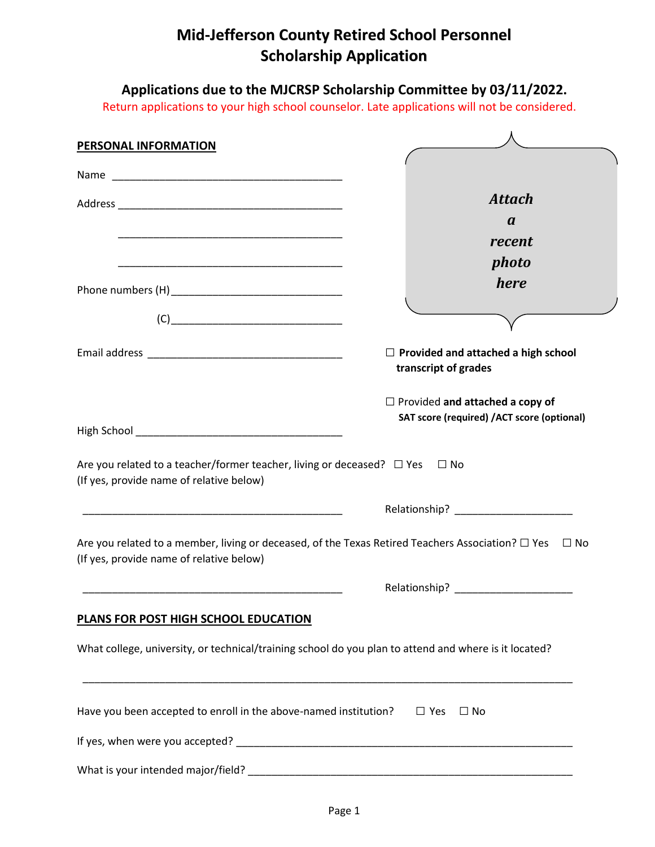## **Mid-Jefferson County Retired School Personnel Scholarship Application**

**Applications due to the MJCRSP Scholarship Committee by 03/11/2022.**

Return applications to your high school counselor. Late applications will not be considered.

| <b>PERSONAL INFORMATION</b>                                                                                                                                                                                                                                                                                                                         |                                                                                                                        |
|-----------------------------------------------------------------------------------------------------------------------------------------------------------------------------------------------------------------------------------------------------------------------------------------------------------------------------------------------------|------------------------------------------------------------------------------------------------------------------------|
|                                                                                                                                                                                                                                                                                                                                                     |                                                                                                                        |
|                                                                                                                                                                                                                                                                                                                                                     | <b>Attach</b>                                                                                                          |
|                                                                                                                                                                                                                                                                                                                                                     | $\boldsymbol{a}$                                                                                                       |
| <u> 1989 - Johann Stein, marwolaethau a bhann an t-Amhair ann an t-Amhair an t-Amhair an t-Amhair an t-Amhair an</u>                                                                                                                                                                                                                                | recent                                                                                                                 |
|                                                                                                                                                                                                                                                                                                                                                     | photo                                                                                                                  |
|                                                                                                                                                                                                                                                                                                                                                     | here                                                                                                                   |
|                                                                                                                                                                                                                                                                                                                                                     |                                                                                                                        |
| $\begin{picture}(180,10) \put(0,0){\line(1,0){100}} \put(0,0){\line(1,0){100}} \put(0,0){\line(1,0){100}} \put(0,0){\line(1,0){100}} \put(0,0){\line(1,0){100}} \put(0,0){\line(1,0){100}} \put(0,0){\line(1,0){100}} \put(0,0){\line(1,0){100}} \put(0,0){\line(1,0){100}} \put(0,0){\line(1,0){100}} \put(0,0){\line(1,0){100}} \put(0,0){\line($ |                                                                                                                        |
|                                                                                                                                                                                                                                                                                                                                                     | $\Box$ Provided and attached a high school<br>transcript of grades                                                     |
|                                                                                                                                                                                                                                                                                                                                                     | $\Box$ Provided and attached a copy of<br>SAT score (required) /ACT score (optional)                                   |
|                                                                                                                                                                                                                                                                                                                                                     |                                                                                                                        |
| Are you related to a teacher/former teacher, living or deceased? $\Box$ Yes<br>(If yes, provide name of relative below)                                                                                                                                                                                                                             | $\Box$ No                                                                                                              |
| <u> 1989 - Johann John Stoff, deutscher Stoffen und der Stoffen und der Stoffen und der Stoffen und der Stoffen u</u>                                                                                                                                                                                                                               |                                                                                                                        |
| (If yes, provide name of relative below)                                                                                                                                                                                                                                                                                                            | Are you related to a member, living or deceased, of the Texas Retired Teachers Association? $\square$ Yes $\square$ No |
|                                                                                                                                                                                                                                                                                                                                                     |                                                                                                                        |
| PLANS FOR POST HIGH SCHOOL EDUCATION                                                                                                                                                                                                                                                                                                                |                                                                                                                        |
| What college, university, or technical/training school do you plan to attend and where is it located?                                                                                                                                                                                                                                               |                                                                                                                        |
| Have you been accepted to enroll in the above-named institution? $\square$ Yes $\square$ No                                                                                                                                                                                                                                                         |                                                                                                                        |
|                                                                                                                                                                                                                                                                                                                                                     |                                                                                                                        |
|                                                                                                                                                                                                                                                                                                                                                     |                                                                                                                        |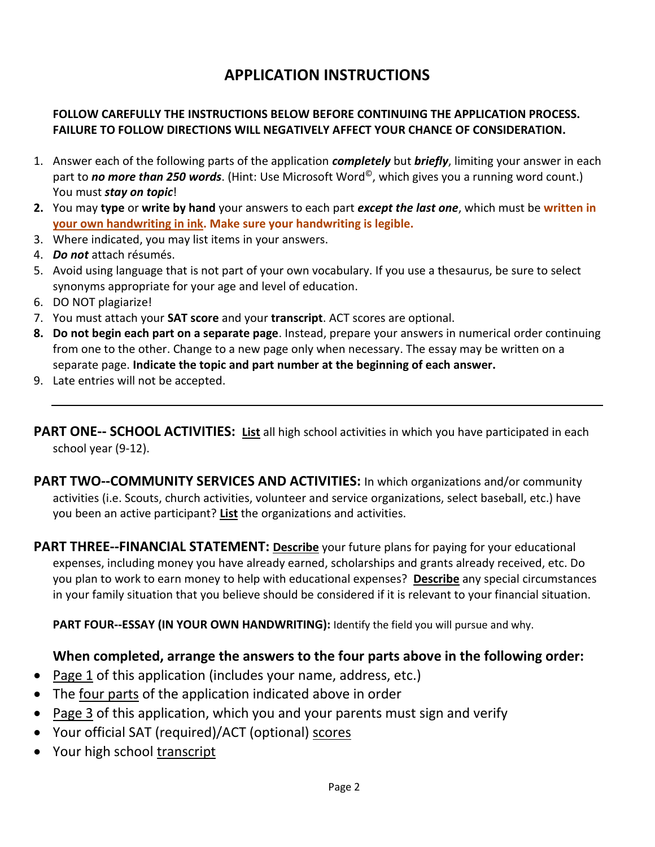## **APPLICATION INSTRUCTIONS**

## **FOLLOW CAREFULLY THE INSTRUCTIONS BELOW BEFORE CONTINUING THE APPLICATION PROCESS. FAILURE TO FOLLOW DIRECTIONS WILL NEGATIVELY AFFECT YOUR CHANCE OF CONSIDERATION.**

- 1. Answer each of the following parts of the application *completely* but *briefly*, limiting your answer in each part to *no more than 250 words*. (Hint: Use Microsoft Word©, which gives you a running word count.) You must *stay on topic*!
- **2.** You may **type** or **write by hand** your answers to each part *except the last one*, which must be **written in your own handwriting in ink. Make sure your handwriting is legible.**
- 3. Where indicated, you may list items in your answers.
- 4. *Do not* attach résumés.
- 5. Avoid using language that is not part of your own vocabulary. If you use a thesaurus, be sure to select synonyms appropriate for your age and level of education.
- 6. DO NOT plagiarize!
- 7. You must attach your **SAT score** and your **transcript**. ACT scores are optional.
- **8. Do not begin each part on a separate page**. Instead, prepare your answers in numerical order continuing from one to the other. Change to a new page only when necessary. The essay may be written on a separate page. **Indicate the topic and part number at the beginning of each answer.**
- 9. Late entries will not be accepted.

**PART ONE-- SCHOOL ACTIVITIES: List** all high school activities in which you have participated in each school year (9-12).

**PART TWO--COMMUNITY SERVICES AND ACTIVITIES:** In which organizations and/or community activities (i.e. Scouts, church activities, volunteer and service organizations, select baseball, etc.) have you been an active participant? **List** the organizations and activities.

**PART THREE--FINANCIAL STATEMENT: Describe** your future plans for paying for your educational expenses, including money you have already earned, scholarships and grants already received, etc. Do you plan to work to earn money to help with educational expenses? **Describe** any special circumstances in your family situation that you believe should be considered if it is relevant to your financial situation.

**PART FOUR--ESSAY (IN YOUR OWN HANDWRITING):** Identify the field you will pursue and why.

## **When completed, arrange the answers to the four parts above in the following order:**

- Page 1 of this application (includes your name, address, etc.)
- The four parts of the application indicated above in order
- Page 3 of this application, which you and your parents must sign and verify
- Your official SAT (required)/ACT (optional) scores
- Your high school transcript